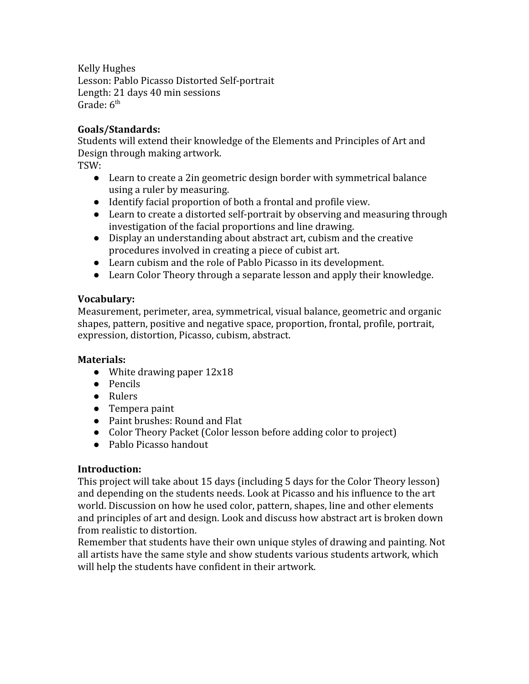Kelly Hughes

Lesson: Pablo Picasso Distorted Self-portrait Length: 21 days 40 min sessions Grade:  $6<sup>th</sup>$ 

#### **Goals/Standards:**

Students will extend their knowledge of the Elements and Principles of Art and Design through making artwork.

TSW:

- Learn to create a 2in geometric design border with symmetrical balance using a ruler by measuring.
- Identify facial proportion of both a frontal and profile view.
- Learn to create a distorted self-portrait by observing and measuring through investigation of the facial proportions and line drawing.
- Display an understanding about abstract art, cubism and the creative procedures involved in creating a piece of cubist art.
- Learn cubism and the role of Pablo Picasso in its development.
- Learn Color Theory through a separate lesson and apply their knowledge.

### **Vocabulary:**

Measurement, perimeter, area, symmetrical, visual balance, geometric and organic shapes, pattern, positive and negative space, proportion, frontal, profile, portrait, expression, distortion, Picasso, cubism, abstract.

### **Materials:**

- White drawing paper  $12x18$
- Pencils
- Rulers
- Tempera paint
- Paint brushes: Round and Flat
- Color Theory Packet (Color lesson before adding color to project)
- Pablo Picasso handout

### **Introduction:**

This project will take about 15 days (including 5 days for the Color Theory lesson) and depending on the students needs. Look at Picasso and his influence to the art world. Discussion on how he used color, pattern, shapes, line and other elements and principles of art and design. Look and discuss how abstract art is broken down from realistic to distortion.

Remember that students have their own unique styles of drawing and painting. Not all artists have the same style and show students various students artwork, which will help the students have confident in their artwork.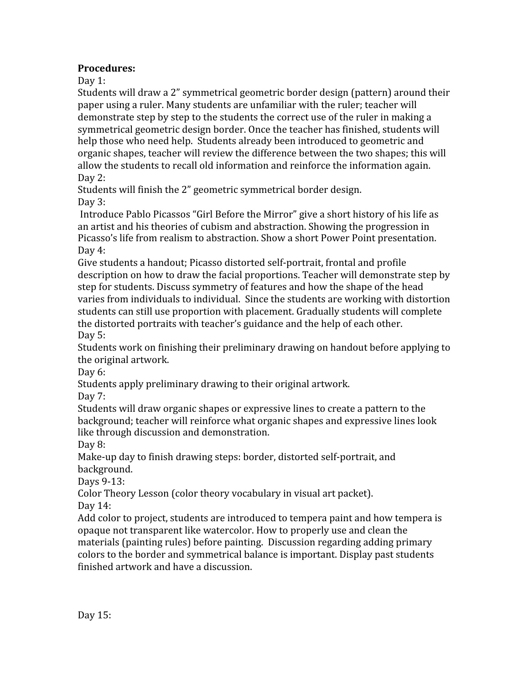## **Procedures:**

Day 1:

Students will draw a 2" symmetrical geometric border design (pattern) around their paper using a ruler. Many students are unfamiliar with the ruler; teacher will demonstrate step by step to the students the correct use of the ruler in making a symmetrical geometric design border. Once the teacher has finished, students will help those who need help. Students already been introduced to geometric and organic shapes, teacher will review the difference between the two shapes; this will allow the students to recall old information and reinforce the information again. Day 2:

Students will finish the 2" geometric symmetrical border design. Day 3:

 Introduce Pablo Picassos "Girl Before the Mirror" give a short history of his life as an artist and his theories of cubism and abstraction. Showing the progression in Picasso's life from realism to abstraction. Show a short Power Point presentation. Day 4:

Give students a handout; Picasso distorted self-portrait, frontal and profile description on how to draw the facial proportions. Teacher will demonstrate step by step for students. Discuss symmetry of features and how the shape of the head varies from individuals to individual. Since the students are working with distortion students can still use proportion with placement. Gradually students will complete the distorted portraits with teacher's guidance and the help of each other. Day 5:

Students work on finishing their preliminary drawing on handout before applying to the original artwork.

Day 6:

Students apply preliminary drawing to their original artwork.

Day 7:

Students will draw organic shapes or expressive lines to create a pattern to the background; teacher will reinforce what organic shapes and expressive lines look like through discussion and demonstration.

Day 8:

Make-up day to finish drawing steps: border, distorted self-portrait, and background.

Days 9-13:

Color Theory Lesson (color theory vocabulary in visual art packet).

Day 14:

Add color to project, students are introduced to tempera paint and how tempera is opaque not transparent like watercolor. How to properly use and clean the materials (painting rules) before painting. Discussion regarding adding primary colors to the border and symmetrical balance is important. Display past students finished artwork and have a discussion.